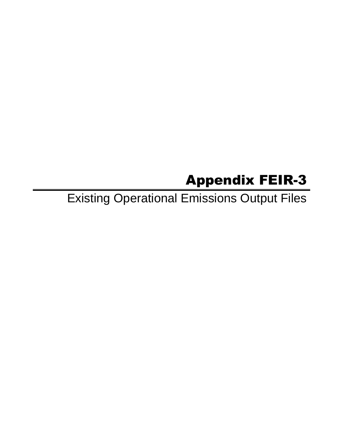# Appendix FEIR-3

Existing Operational Emissions Output Files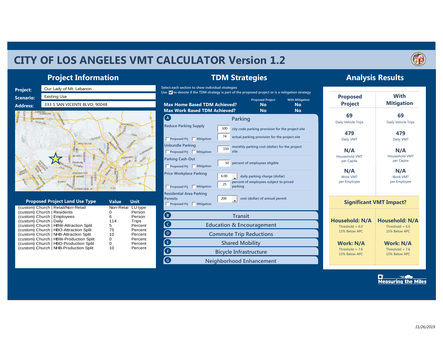# **CITY OF LOS ANGELES VMT CALCULATOR Version 1.2**



#### **Project Information**



| <b>Proposed Project Land Use Type</b>  | Value             | Unit    |
|----------------------------------------|-------------------|---------|
| (custom) Church   Retail/Non-Retail    | Non-Retai LU type |         |
| (custom) Church   Residents            |                   | Person  |
| (custom) Church   Employees            | 6                 | Person  |
| (custom) Church   Daily                | 114               | Trips   |
| (custom) Church   HBW-Attraction Split | 5                 | Percent |
| (custom) Church   HBO-Attraction Split | 75                | Percent |
| (custom) Church   NHB-Attraction Split | 10                | Percent |
| (custom) Church   HBW-Production Split | O                 | Percent |
| (custom) Church   HBO-Production Split | Ω                 | Percent |
| (custom) Church   NHB-Production Split | 10                | Percent |

### **TDM Strategies**

**Select each section to show individual strategies**



#### **Analysis Results**

| <b>Proposed</b><br><b>Project</b>  | <b>With</b><br><b>Mitigation</b> |  |  |  |
|------------------------------------|----------------------------------|--|--|--|
| 69                                 | 69                               |  |  |  |
| Daily Vehicle Trips                | Daily Vehicle Trips              |  |  |  |
| 479                                | 479                              |  |  |  |
| Daily VMT                          | Daily VMT                        |  |  |  |
| N/A                                | N/A                              |  |  |  |
| Houseshold VMT<br>per Capita       | Houseshold VMT<br>per Capita     |  |  |  |
| N/A                                | N/A                              |  |  |  |
| <b>Work VMT</b><br>per Employee    | <b>Work VMT</b><br>per Employee  |  |  |  |
|                                    | <b>Significant VMT Impact?</b>   |  |  |  |
| Household: N/A                     | Household: N/A                   |  |  |  |
| Threshold = $6.0$                  | Threshold = $6.0$                |  |  |  |
| 15% Below APC                      | 15% Below APC                    |  |  |  |
| <b>Work: N/A</b>                   | Work: N/A                        |  |  |  |
|                                    | Threshold = $7.6$                |  |  |  |
| Threshold = $7.6$<br>15% Below APC | 15% Below APC                    |  |  |  |

 $\sum_{\text{Measuring the Miles}}$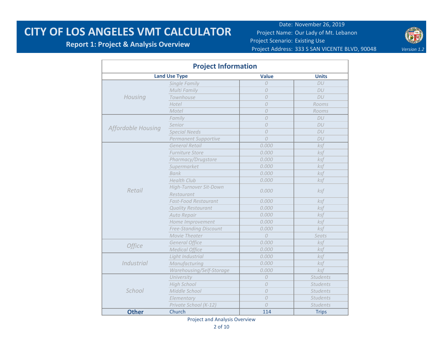#### **Report 1: Project & Analysis Overview**

Date: November 26, 2019 Project Name: Our Lady of Mt. Lebanon Project Scenario: Existing Use Project Address: 333 S SAN VICENTE BLVD, 90048 Version 1.2



|                    | <b>Project Information</b>    |                |                 |
|--------------------|-------------------------------|----------------|-----------------|
|                    | <b>Land Use Type</b>          | <b>Value</b>   | <b>Units</b>    |
|                    | Single Family                 | $\Omega$       | DU              |
|                    | Multi Family                  | $\Omega$       | DU              |
| Housing            | Townhouse                     | $\Omega$       | DU              |
|                    | Hotel                         | $\Omega$       | Rooms           |
|                    | Motel                         | 0              | Rooms           |
|                    | Family                        | $\theta$       | DU              |
|                    | Senior                        | $\Omega$       | DU              |
| Affordable Housing | <b>Special Needs</b>          | $\overline{O}$ | DU              |
|                    | Permanent Supportive          | $\theta$       | DU              |
|                    | <b>General Retail</b>         | 0.000          | ksf             |
|                    | <b>Furniture Store</b>        | 0.000          | ksf             |
|                    | Pharmacy/Drugstore            | 0.000          | ksf             |
|                    | Supermarket                   | 0.000          | ksf             |
|                    | <b>Bank</b>                   | 0.000          | ksf             |
|                    | <b>Health Club</b>            | 0.000          | ksf             |
|                    | High-Turnover Sit-Down        |                |                 |
| Retail             | Restaurant                    | 0.000          | ksf             |
|                    | <b>Fast-Food Restaurant</b>   | 0.000          | ksf             |
|                    | <b>Quality Restaurant</b>     | 0.000          | ksf             |
|                    | Auto Repair                   | 0.000          | ksf             |
|                    | Home Improvement              | 0.000          | ksf             |
|                    | <b>Free-Standing Discount</b> | 0.000          | ksf             |
|                    | Movie Theater                 | $\overline{O}$ | Seats           |
|                    | <b>General Office</b>         | 0.000          | $k$ sf          |
| <b>Office</b>      | <b>Medical Office</b>         | 0.000          | ksf             |
|                    | Light Industrial              | 0.000          | ksf             |
| <b>Industrial</b>  | Manufacturing                 | 0.000          | ksf             |
|                    | Warehousing/Self-Storage      | 0.000          | ksf             |
|                    | University                    | $\Omega$       | <b>Students</b> |
|                    | <b>High School</b>            | $\overline{O}$ | <b>Students</b> |
| School             | Middle School                 | $\Omega$       | <b>Students</b> |
|                    | Elementary                    | $\overline{O}$ | <b>Students</b> |
|                    | Private School (K-12)         | $\Omega$       | <b>Students</b> |
| <b>Other</b>       | Church                        | 114            | <b>Trips</b>    |

Project and Analysis Overview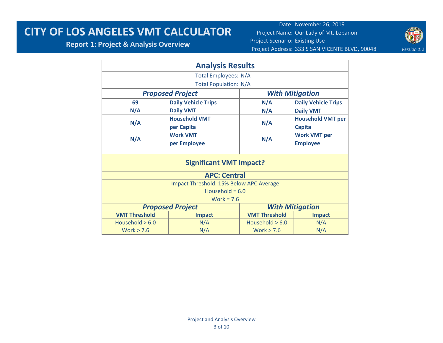**Report 1: Project & Analysis Overview**



|                             | <b>Analysis Results</b>                 |                      |                            |  |  |  |  |  |  |
|-----------------------------|-----------------------------------------|----------------------|----------------------------|--|--|--|--|--|--|
| <b>Total Employees: N/A</b> |                                         |                      |                            |  |  |  |  |  |  |
|                             | <b>Total Population: N/A</b>            |                      |                            |  |  |  |  |  |  |
|                             | <b>Proposed Project</b>                 |                      | <b>With Mitigation</b>     |  |  |  |  |  |  |
| 69                          | <b>Daily Vehicle Trips</b>              | N/A                  | <b>Daily Vehicle Trips</b> |  |  |  |  |  |  |
| N/A                         | <b>Daily VMT</b>                        | N/A                  | <b>Daily VMT</b>           |  |  |  |  |  |  |
|                             | <b>Household VMT</b>                    |                      | <b>Household VMT per</b>   |  |  |  |  |  |  |
| N/A                         | per Capita                              | N/A                  | <b>Capita</b>              |  |  |  |  |  |  |
|                             | <b>Work VMT</b>                         |                      | <b>Work VMT per</b>        |  |  |  |  |  |  |
| N/A                         | per Employee                            | N/A                  | <b>Employee</b>            |  |  |  |  |  |  |
|                             | <b>Significant VMT Impact?</b>          |                      |                            |  |  |  |  |  |  |
|                             | <b>APC: Central</b>                     |                      |                            |  |  |  |  |  |  |
|                             | Impact Threshold: 15% Below APC Average |                      |                            |  |  |  |  |  |  |
|                             | Household = $6.0$                       |                      |                            |  |  |  |  |  |  |
|                             | Work = $7.6$                            |                      |                            |  |  |  |  |  |  |
|                             | <b>Proposed Project</b>                 |                      | <b>With Mitigation</b>     |  |  |  |  |  |  |
| <b>VMT Threshold</b>        | <b>Impact</b>                           | <b>VMT Threshold</b> | <b>Impact</b>              |  |  |  |  |  |  |
| Household $> 6.0$           | N/A                                     | Household $> 6.0$    | N/A                        |  |  |  |  |  |  |
| Work $> 7.6$                | N/A                                     | Work $> 7.6$         | N/A                        |  |  |  |  |  |  |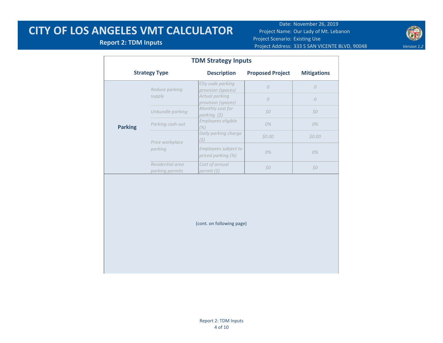#### **Report 2: TDM Inputs**



|                | <b>Strategy Type</b>                | <b>Description</b>                         | <b>Proposed Project</b> | <b>Mitigations</b> |  |
|----------------|-------------------------------------|--------------------------------------------|-------------------------|--------------------|--|
|                | Reduce parking                      | City code parking<br>provision (spaces)    | $\overline{O}$          | $\mathcal{O}$      |  |
|                | supply                              | Actual parking<br>provision (spaces)       | $\overline{O}$          | $\overline{O}$     |  |
|                | Unbundle parking                    | Monthly cost for<br>parking (\$)           | \$0                     | \$0                |  |
| <b>Parking</b> | Parking cash-out                    | Employees eligible<br>(%)                  | 0%                      | 0%                 |  |
|                | Price workplace                     | Daily parking charge<br>(5)                | \$0.00                  | \$0.00             |  |
|                | parking                             | Employees subject to<br>priced parking (%) | 0%                      | 0%                 |  |
|                | Residential area<br>parking permits | Cost of annual<br>permit (\$)              | \$0                     | \$0                |  |
|                |                                     | (cont. on following page)                  |                         |                    |  |
|                |                                     |                                            |                         |                    |  |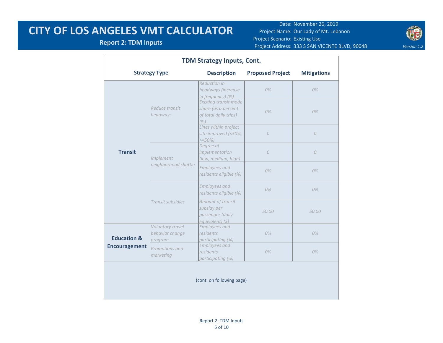#### **Report 2: TDM Inputs**



| <b>TDM Strategy Inputs, Cont.</b> |                                                |                                                                                      |                         |                    |  |  |  |  |
|-----------------------------------|------------------------------------------------|--------------------------------------------------------------------------------------|-------------------------|--------------------|--|--|--|--|
|                                   | <b>Strategy Type</b>                           | <b>Description</b>                                                                   | <b>Proposed Project</b> | <b>Mitigations</b> |  |  |  |  |
|                                   |                                                | <b>Reduction in</b><br>headways (increase<br>in frequency) (%)                       | $0\%$                   | $0\%$              |  |  |  |  |
| <b>Transit</b>                    | Reduce transit<br>headways                     | <b>Existing transit mode</b><br>share (as a percent<br>of total daily trips)<br>(% ) | $0\%$                   | $0\%$              |  |  |  |  |
|                                   |                                                | Lines within project<br>site improved (<50%,<br>$>=50%$                              | $\overline{O}$          | $\overline{O}$     |  |  |  |  |
|                                   | Implement                                      | Degree of<br>implementation<br>(low, medium, high)                                   | $\overline{O}$          | $\overline{O}$     |  |  |  |  |
|                                   | neighborhood shuttle                           | <b>Employees and</b><br>residents eligible (%)                                       | $0\%$                   | 0%                 |  |  |  |  |
|                                   |                                                | <b>Employees and</b><br>residents eligible (%)                                       | 0%                      | 0%                 |  |  |  |  |
|                                   | Transit subsidies                              | Amount of transit<br>subsidy per<br>passenger (daily<br>equivalent) (\$)             | \$0.00                  | \$0.00             |  |  |  |  |
| <b>Education &amp;</b>            | Voluntary travel<br>behavior change<br>program | <b>Employees</b> and<br>residents<br>participating (%)                               | $0\%$                   | $0\%$              |  |  |  |  |
| <b>Encouragement</b>              | Promotions and<br>marketing                    | <b>Employees and</b><br>residents<br>participating (%)                               | 0%                      | $0\%$              |  |  |  |  |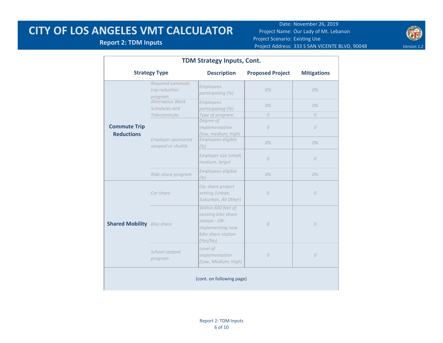#### **Report 2: TDM Inputs**



| TDM Strategy Inputs, Cont.               |                                               |                                                                                                                  |                         |                    |  |  |  |
|------------------------------------------|-----------------------------------------------|------------------------------------------------------------------------------------------------------------------|-------------------------|--------------------|--|--|--|
|                                          | <b>Strategy Type</b>                          | <b>Description</b>                                                                                               | <b>Proposed Project</b> | <b>Mitigations</b> |  |  |  |
|                                          | Required commute<br>trip reduction<br>program | Employees<br>participating (%)                                                                                   | $0\%$                   | $0\%$              |  |  |  |
|                                          | Alternative Work<br>Schedules and             | Employees<br>participating (%)                                                                                   | 0%                      | 0%                 |  |  |  |
|                                          | Telecommute                                   | Type of program                                                                                                  | $\Omega$                | $\overline{O}$     |  |  |  |
| <b>Commute Trip</b><br><b>Reductions</b> |                                               | Degree of<br>implementation<br>(low, medium, high)                                                               | $\Omega$                | $\Omega$           |  |  |  |
|                                          | Employer sponsored<br>vanpool or shuttle      | Employees eligible<br>(% )                                                                                       | $0\%$                   | $0\%$              |  |  |  |
|                                          |                                               | Employer size (small,<br>medium, large)                                                                          | $\overline{O}$          | $\overline{O}$     |  |  |  |
|                                          | Ride-share program                            | Employees eligible<br>(% )                                                                                       | 0%                      | 0%                 |  |  |  |
|                                          | Car share                                     | Car share project<br>setting (Urban,<br>Suburban, All Other)                                                     | $\overline{O}$          | $\mathcal{O}$      |  |  |  |
| <b>Shared Mobility</b> Bike share        |                                               | Within 600 feet of<br>existing bike share<br>station - OR-<br>implementing new<br>bike share station<br>(Yes/No) | $\overline{O}$          | $\overline{O}$     |  |  |  |
|                                          | School carpool<br>program                     | Level of<br>implementation<br>(Low, Medium, High)                                                                | $\mathcal{O}$           | $\mathcal{O}$      |  |  |  |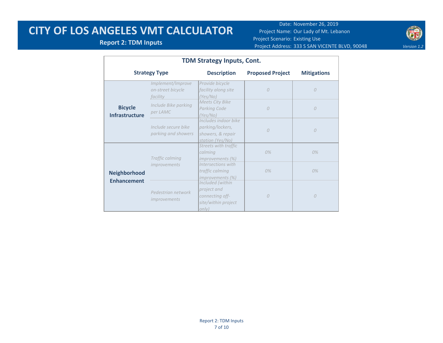Date: November 26, 2019 Project Name: Our Lady of Mt. Lebanon Project Scenario: Existing Use Project Address: 333 S SAN VICENTE BLVD, 90048 Version 1.2



#### **Report 2: TDM Inputs**

| <b>TDM Strategy Inputs, Cont.</b>       |                                                    |                                                                                                |                         |                    |  |  |  |  |
|-----------------------------------------|----------------------------------------------------|------------------------------------------------------------------------------------------------|-------------------------|--------------------|--|--|--|--|
|                                         | <b>Strategy Type</b>                               | <b>Description</b>                                                                             | <b>Proposed Project</b> | <b>Mitigations</b> |  |  |  |  |
|                                         | Implement/Improve<br>on-street bicycle<br>facility | Provide bicycle<br>facility along site<br>(Yes/No)                                             | 0                       | $\mathcal{O}$      |  |  |  |  |
| <b>Bicycle</b><br><b>Infrastructure</b> | Include Bike parking<br>per LAMC                   | <b>Meets City Bike</b><br>Parking Code<br>(Yes/No)                                             | $\Omega$                | $\theta$           |  |  |  |  |
|                                         | Include secure bike<br>parking and showers         | Includes indoor bike<br>parking/lockers,<br>showers, & repair<br>station (Yes/No)              | $\Omega$                | $\overline{O}$     |  |  |  |  |
|                                         | Traffic calming                                    | Streets with traffic<br>calming<br>improvements (%)                                            | 0%                      | 0%                 |  |  |  |  |
| <b>Neighborhood</b>                     | <i>improvements</i>                                | Intersections with<br>traffic calming<br>improvements (%)                                      | 0%                      | 0%                 |  |  |  |  |
| <b>Enhancement</b>                      | Pedestrian network<br><i>improvements</i>          | Included (within<br>project and<br>connecting off-<br>site/within project<br>on <sub>l</sub> v | $\Omega$                | $\theta$           |  |  |  |  |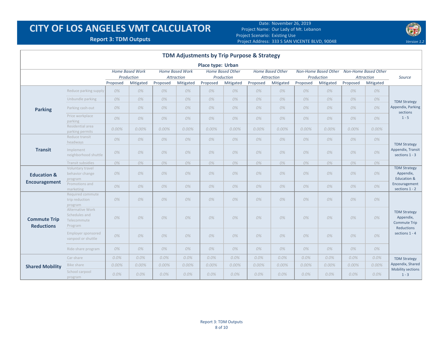Date: November 26, 2019 Project Name: Our Lady of Mt. Lebanon Project Scenario: Existing Use Project Address: **Report 3: TDM Outputs** *Version 1.2* 333 S SAN VICENTE BLVD, 90048



| TDM Adjustments by Trip Purpose & Strategy |                                                             |          |                                                   |          |                                                   |                          |                                                    |          |                                                    |          |                                                        |          |                                                 |                                                                                         |
|--------------------------------------------|-------------------------------------------------------------|----------|---------------------------------------------------|----------|---------------------------------------------------|--------------------------|----------------------------------------------------|----------|----------------------------------------------------|----------|--------------------------------------------------------|----------|-------------------------------------------------|-----------------------------------------------------------------------------------------|
|                                            |                                                             |          |                                                   |          |                                                   | <b>Place type: Urban</b> |                                                    |          |                                                    |          |                                                        |          |                                                 |                                                                                         |
|                                            |                                                             | Proposed | <b>Home Based Work</b><br>Production<br>Mitigated | Proposed | <b>Home Based Work</b><br>Attraction<br>Mitigated | Proposed                 | <b>Home Based Other</b><br>Production<br>Mitigated | Proposed | <b>Home Based Other</b><br>Attraction<br>Mitigated | Proposed | <b>Non-Home Based Other</b><br>Production<br>Mitigated | Proposed | Non-Home Based Other<br>Attraction<br>Mitigated | Source                                                                                  |
|                                            | Reduce parking supply                                       | 0%       | 0%                                                | 0%       | 0%                                                | 0%                       | 0%                                                 | 0%       | 0%                                                 | 0%       | 0%                                                     | 0%       | 0%                                              |                                                                                         |
|                                            | Unbundle parking                                            | 0%       | 0%                                                | 0%       | 0%                                                | 0%                       | 0%                                                 | 0%       | 0%                                                 | 0%       | 0%                                                     | 0%       | 0%                                              | <b>TDM Strategy</b>                                                                     |
| <b>Parking</b>                             | Parking cash-out                                            | 0%       | 0%                                                | 0%       | 0%                                                | 0%                       | 0%                                                 | 0%       | 0%                                                 | 0%       | 0%                                                     | 0%       | 0%                                              | Appendix, Parking<br>sections                                                           |
|                                            | Price workplace<br>parking                                  | 0%       | 0%                                                | 0%       | 0%                                                | 0%                       | 0%                                                 | 0%       | 0%                                                 | 0%       | 0%                                                     | 0%       | 0%                                              | $1 - 5$                                                                                 |
|                                            | Residential area<br>parking permits                         | $0.00\%$ | 0.00%                                             | 0.00%    | 0.00%                                             | 0.00%                    | 0.00%                                              | 0.00%    | 0.00%                                              | 0.00%    | 0.00%                                                  | $0.00\%$ | 0.00%                                           |                                                                                         |
|                                            | Reduce transit<br>headways                                  | 0%       | 0%                                                | 0%       | 0%                                                | 0%                       | 0%                                                 | 0%       | 0%                                                 | 0%       | 0%                                                     | 0%       | 0%                                              |                                                                                         |
| <b>Transit</b>                             | Implement<br>neighborhood shuttle                           | 0%       | 0%                                                | 0%       | 0%                                                | 0%                       | 0%                                                 | 0%       | 0%                                                 | 0%       | 0%                                                     | 0%       | 0%                                              | <b>TDM Strategy</b><br>Appendix, Transit<br>sections 1 - 3                              |
|                                            | Transit subsidies                                           | 0%       | 0%                                                | 0%       | 0%                                                | 0%                       | 0%                                                 | 0%       | 0%                                                 | 0%       | 0%                                                     | 0%       | 0%                                              |                                                                                         |
| <b>Education &amp;</b>                     | Voluntary travel<br>behavior change<br>program              | 0%       | 0%                                                | 0%       | 0%                                                | 0%                       | 0%                                                 | 0%       | 0%                                                 | 0%       | 0%                                                     | 0%       | 0%                                              | <b>TDM Strategy</b><br>Appendix,<br>Education &                                         |
| <b>Encouragement</b>                       | Promotions and<br>marketing                                 | 0%       | 0%                                                | 0%       | 0%                                                | 0%                       | 0%                                                 | 0%       | 0%                                                 | 0%       | 0%                                                     | 0%       | 0%                                              | Encouragement<br>sections 1 - 2                                                         |
|                                            | Required commute<br>trip reduction<br>program               | 0%       | 0%                                                | 0%       | 0%                                                | 0%                       | 0%                                                 | 0%       | 0%                                                 | 0%       | 0%                                                     | 0%       | 0%                                              |                                                                                         |
| <b>Commute Trip</b><br><b>Reductions</b>   | Alternative Work<br>Schedules and<br>Telecommute<br>Program | 0%       | 0%                                                | 0%       | 0%                                                | 0%                       | 0%                                                 | 0%       | 0%                                                 | 0%       | 0%                                                     | 0%       | 0%                                              | <b>TDM Strategy</b><br>Appendix,<br><b>Commute Trip</b><br>Reductions<br>sections 1 - 4 |
|                                            | Employer sponsored<br>vanpool or shuttle                    | 0%       | 0%                                                | 0%       | 0%                                                | 0%                       | 0%                                                 | 0%       | 0%                                                 | 0%       | 0%                                                     | 0%       | 0%                                              |                                                                                         |
|                                            | Ride-share program                                          | 0%       | 0%                                                | 0%       | 0%                                                | 0%                       | 0%                                                 | 0%       | 0%                                                 | 0%       | 0%                                                     | 0%       | 0%                                              |                                                                                         |
|                                            | Car-share                                                   | 0.0%     | 0.0%                                              | $0.0\%$  | 0.0%                                              | $0.0\%$                  | 0.0%                                               | 0.0%     | $0.0\%$                                            | $0.0\%$  | $0.0\%$                                                | $0.0\%$  | 0.0%                                            | <b>TDM Strategy</b>                                                                     |
| <b>Shared Mobility</b>                     | Bike share                                                  | 0.00%    | 0.00%                                             | 0.00%    | 0.00%                                             | 0.00%                    | 0.00%                                              | 0.00%    | 0.00%                                              | 0.00%    | 0.00%                                                  | 0.00%    | Appendix, Shared<br>0.00%                       |                                                                                         |
|                                            | School carpool<br>program                                   | 0.0%     | $0.0\%$                                           | $0.0\%$  | $0.0\%$                                           | $0.0\%$                  | 0.0%                                               | $0.0\%$  | $0.0\%$                                            | $0.0\%$  | 0.0%                                                   | $0.0\%$  | $0.0\%$                                         | Mobility sections<br>$1 - 3$                                                            |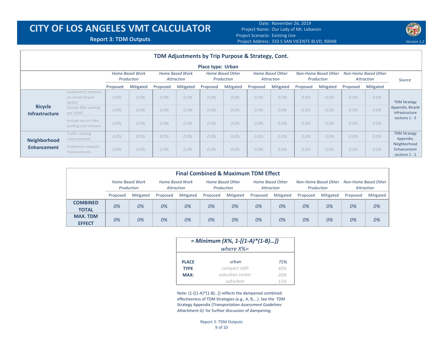Date: November 26, 2019 Project Name: Our Lady of Mt. Lebanon Project Scenario: Existing Use Project Address: **Report 3: TDM Outputs** *Version 1.2* 333 S SAN VICENTE BLVD, 90048



|                                         | TDM Adjustments by Trip Purpose & Strategy, Cont.  |                                      |           |          |           |                          |           |          |           |          |           |                                                                                                                                                                                          |           |                                                         |  |  |  |  |  |  |  |  |  |  |  |  |  |                      |  |        |
|-----------------------------------------|----------------------------------------------------|--------------------------------------|-----------|----------|-----------|--------------------------|-----------|----------|-----------|----------|-----------|------------------------------------------------------------------------------------------------------------------------------------------------------------------------------------------|-----------|---------------------------------------------------------|--|--|--|--|--|--|--|--|--|--|--|--|--|----------------------|--|--------|
|                                         |                                                    |                                      |           |          |           | <b>Place type: Urban</b> |           |          |           |          |           |                                                                                                                                                                                          |           |                                                         |  |  |  |  |  |  |  |  |  |  |  |  |  |                      |  |        |
|                                         |                                                    | <b>Home Based Work</b><br>Production |           |          |           |                          |           |          |           |          |           | <b>Home Based Other</b><br>Non-Home Based Other<br><b>Home Based Work</b><br>Home Based Other<br>Production<br>Production<br><b>Attraction</b><br><b>Attraction</b><br><b>Attraction</b> |           |                                                         |  |  |  |  |  |  |  |  |  |  |  |  |  | Non-Home Based Other |  | Source |
|                                         |                                                    | Proposed                             | Mitigated | Proposed | Mitigated | Proposed                 | Mitigated | Proposed | Mitigated | Proposed | Mitigated | Proposed                                                                                                                                                                                 | Mitigated |                                                         |  |  |  |  |  |  |  |  |  |  |  |  |  |                      |  |        |
|                                         | Implement/Improve<br>on-street bicycle<br>facility | 0.0%                                 | 0.0%      | $0.0\%$  | $0.0\%$   | 0.0%                     | 0.0%      | 0.0%     | 0.0%      | 0.0%     | 0.0%      | $0.0\%$                                                                                                                                                                                  | 0.0%      | <b>TDM Strategy</b>                                     |  |  |  |  |  |  |  |  |  |  |  |  |  |                      |  |        |
| <b>Bicycle</b><br><b>Infrastructure</b> | Include Bike parking<br>per LAMC                   | 0.0%                                 | 0.0%      | 0.0%     | 0.0%      | 0.0%                     | 0.0%      | $0.0\%$  | 0.0%      | 0.0%     | 0.0%      | $0.0\%$                                                                                                                                                                                  | $0.0\%$   | Appendix, Bicycle<br>Infrastructure<br>sections $1 - 3$ |  |  |  |  |  |  |  |  |  |  |  |  |  |                      |  |        |
|                                         | Include secure bike<br>parking and showers         | 0.0%                                 | $0.0\%$   | $0.0\%$  | $0.0\%$   | 0.0%                     | 0.0%      | $0.0\%$  | 0.0%      | 0.0%     | 0.0%      | $0.0\%$                                                                                                                                                                                  | $0.0\%$   |                                                         |  |  |  |  |  |  |  |  |  |  |  |  |  |                      |  |        |
| <b>Neighborhood</b>                     | Traffic calming<br>improvements                    | 0.0%                                 | 0.0%      | $0.0\%$  | $0.0\%$   | $0.0\%$                  | 0.0%      | 0.0%     | 0.0%      | 0.0%     | 0.0%      | 0.0%                                                                                                                                                                                     | 0.0%      | <b>TDM Strategy</b><br>Appendix,                        |  |  |  |  |  |  |  |  |  |  |  |  |  |                      |  |        |
| <b>Enhancement</b>                      | Pedestrian network<br>improvements                 | 0.0%                                 | 0.0%      | $0.0\%$  | $0.0\%$   | 0.0%                     | 0.0%      | $0.0\%$  | 0.0%      | 0.0%     | 0.0%      | $0.0\%$                                                                                                                                                                                  | $0.0\%$   | Neighborhood<br>Enhancement<br>sections 1 - 2           |  |  |  |  |  |  |  |  |  |  |  |  |  |                      |  |        |

| <b>Final Combined &amp; Maximum TDM Effect</b> |                               |           |                               |           |                                |           |                                       |           |                                    |           |                                    |           |
|------------------------------------------------|-------------------------------|-----------|-------------------------------|-----------|--------------------------------|-----------|---------------------------------------|-----------|------------------------------------|-----------|------------------------------------|-----------|
|                                                | Home Based Work<br>Production |           | Home Based Work<br>Attraction |           | Home Based Other<br>Production |           | <b>Home Based Other</b><br>Attraction |           | Non-Home Based Other<br>Production |           | Non-Home Based Other<br>Attraction |           |
|                                                | Proposed                      | Mitigated | Proposed                      | Mitigated | Proposed                       | Mitigated | Proposed                              | Mitigated | Proposed                           | Mitigated | Proposed                           | Mitigated |
| <b>COMBINED</b><br><b>TOTAL</b>                | 0%                            | 0%        | 0%                            | 0%        | 0%                             | 0%        | 0%                                    | 0%        | 0%                                 | 0%        | 0%                                 | 0%        |
| <b>MAX. TDM</b><br><b>EFFECT</b>               | 0%                            | 0%        | 0%                            | 0%        | 0%                             | 0%        | 0%                                    | 0%        | 0%                                 | 0%        | 0%                                 | 0%        |

|              | = Minimum (X%, 1-[(1-A)*(1-B)]) |     |  |  |  |  |  |
|--------------|---------------------------------|-----|--|--|--|--|--|
|              | where $X\% =$                   |     |  |  |  |  |  |
| <b>PLACE</b> | urban                           | 75% |  |  |  |  |  |
| <b>TYPE</b>  | compact infill                  | 40% |  |  |  |  |  |
| MAX:         | suburban center                 | 20% |  |  |  |  |  |
|              | suburban                        | 15% |  |  |  |  |  |

Note: (1-[(1-A)\*(1-B)…]) reflects the dampened combined effectiveness of TDM Strategies (e.g., A, B,...). See the TDM Strategy Appendix (*Transportation Assessment Guidelines Attachment G)* for further discussion of dampening.